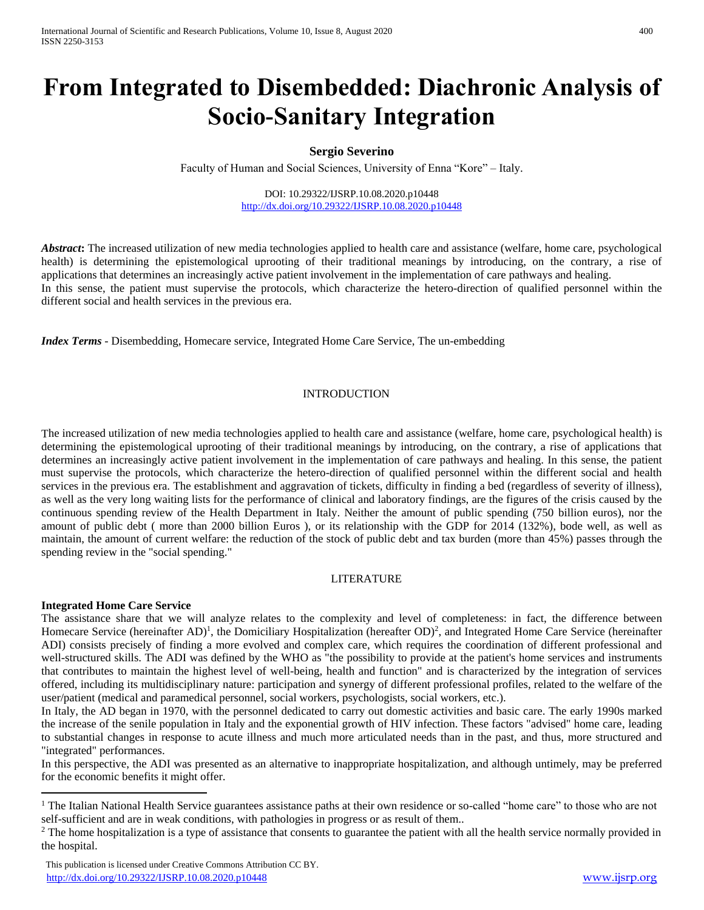# **From Integrated to Disembedded: Diachronic Analysis of Socio-Sanitary Integration**

## **Sergio Severino**

Faculty of Human and Social Sciences, University of Enna "Kore" – Italy.

DOI: 10.29322/IJSRP.10.08.2020.p10448 <http://dx.doi.org/10.29322/IJSRP.10.08.2020.p10448>

*Abstract***:** The increased utilization of new media technologies applied to health care and assistance (welfare, home care, psychological health) is determining the epistemological uprooting of their traditional meanings by introducing, on the contrary, a rise of applications that determines an increasingly active patient involvement in the implementation of care pathways and healing. In this sense, the patient must supervise the protocols, which characterize the hetero-direction of qualified personnel within the different social and health services in the previous era.

*Index Terms* - Disembedding, Homecare service, Integrated Home Care Service, The un-embedding

#### INTRODUCTION

The increased utilization of new media technologies applied to health care and assistance (welfare, home care, psychological health) is determining the epistemological uprooting of their traditional meanings by introducing, on the contrary, a rise of applications that determines an increasingly active patient involvement in the implementation of care pathways and healing. In this sense, the patient must supervise the protocols, which characterize the hetero-direction of qualified personnel within the different social and health services in the previous era. The establishment and aggravation of tickets, difficulty in finding a bed (regardless of severity of illness), as well as the very long waiting lists for the performance of clinical and laboratory findings, are the figures of the crisis caused by the continuous spending review of the Health Department in Italy. Neither the amount of public spending (750 billion euros), nor the amount of public debt ( more than 2000 billion Euros ), or its relationship with the GDP for 2014 (132%), bode well, as well as maintain, the amount of current welfare: the reduction of the stock of public debt and tax burden (more than 45%) passes through the spending review in the "social spending."

#### LITERATURE

#### **Integrated Home Care Service**

 $\overline{a}$ 

The assistance share that we will analyze relates to the complexity and level of completeness: in fact, the difference between Homecare Service (hereinafter  $AD$ <sup>1</sup>, the Domiciliary Hospitalization (hereafter OD)<sup>2</sup>, and Integrated Home Care Service (hereinafter ADI) consists precisely of finding a more evolved and complex care, which requires the coordination of different professional and well-structured skills. The ADI was defined by the WHO as "the possibility to provide at the patient's home services and instruments that contributes to maintain the highest level of well-being, health and function" and is characterized by the integration of services offered, including its multidisciplinary nature: participation and synergy of different professional profiles, related to the welfare of the user/patient (medical and paramedical personnel, social workers, psychologists, social workers, etc.).

In Italy, the AD began in 1970, with the personnel dedicated to carry out domestic activities and basic care. The early 1990s marked the increase of the senile population in Italy and the exponential growth of HIV infection. These factors "advised" home care, leading to substantial changes in response to acute illness and much more articulated needs than in the past, and thus, more structured and "integrated" performances.

In this perspective, the ADI was presented as an alternative to inappropriate hospitalization, and although untimely, may be preferred for the economic benefits it might offer.

<sup>&</sup>lt;sup>1</sup> The Italian National Health Service guarantees assistance paths at their own residence or so-called "home care" to those who are not self-sufficient and are in weak conditions, with pathologies in progress or as result of them..

<sup>&</sup>lt;sup>2</sup> The home hospitalization is a type of assistance that consents to guarantee the patient with all the health service normally provided in the hospital.

This publication is licensed under Creative Commons Attribution CC BY. <http://dx.doi.org/10.29322/IJSRP.10.08.2020.p10448> [www.ijsrp.org](http://ijsrp.org/)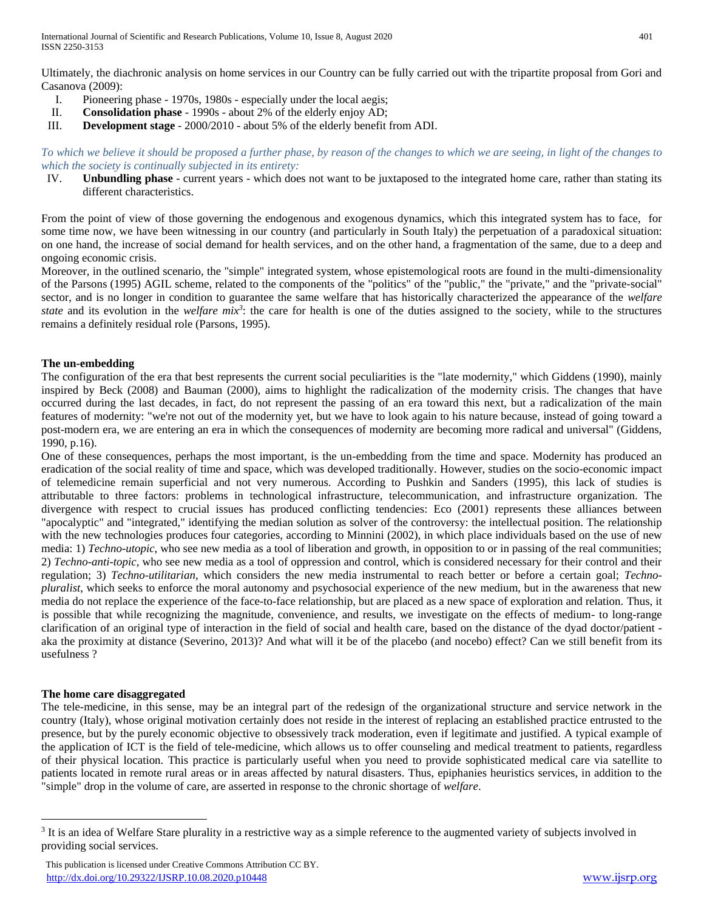Ultimately, the diachronic analysis on home services in our Country can be fully carried out with the tripartite proposal from Gori and Casanova (2009):

- I. Pioneering phase 1970s, 1980s especially under the local aegis;
- II. **Consolidation phase** 1990s about 2% of the elderly enjoy AD;
- III. **Development stage** 2000/2010 about 5% of the elderly benefit from ADI.

*To which we believe it should be proposed a further phase, by reason of the changes to which we are seeing, in light of the changes to which the society is continually subjected in its entirety:*

IV. **Unbundling phase** - current years - which does not want to be juxtaposed to the integrated home care, rather than stating its different characteristics.

From the point of view of those governing the endogenous and exogenous dynamics, which this integrated system has to face, for some time now, we have been witnessing in our country (and particularly in South Italy) the perpetuation of a paradoxical situation: on one hand, the increase of social demand for health services, and on the other hand, a fragmentation of the same, due to a deep and ongoing economic crisis.

Moreover, in the outlined scenario, the "simple" integrated system, whose epistemological roots are found in the multi-dimensionality of the Parsons (1995) AGIL scheme, related to the components of the "politics" of the "public," the "private," and the "private-social" sector, and is no longer in condition to guarantee the same welfare that has historically characterized the appearance of the *welfare*  state and its evolution in the *welfare mix<sup>3</sup>*: the care for health is one of the duties assigned to the society, while to the structures remains a definitely residual role (Parsons, 1995).

## **The un-embedding**

The configuration of the era that best represents the current social peculiarities is the "late modernity," which Giddens (1990), mainly inspired by Beck (2008) and Bauman (2000), aims to highlight the radicalization of the modernity crisis. The changes that have occurred during the last decades, in fact, do not represent the passing of an era toward this next, but a radicalization of the main features of modernity: "we're not out of the modernity yet, but we have to look again to his nature because, instead of going toward a post-modern era, we are entering an era in which the consequences of modernity are becoming more radical and universal" (Giddens, 1990, p.16).

One of these consequences, perhaps the most important, is the un-embedding from the time and space. Modernity has produced an eradication of the social reality of time and space, which was developed traditionally. However, studies on the socio-economic impact of telemedicine remain superficial and not very numerous. According to Pushkin and Sanders (1995), this lack of studies is attributable to three factors: problems in technological infrastructure, telecommunication, and infrastructure organization. The divergence with respect to crucial issues has produced conflicting tendencies: Eco (2001) represents these alliances between "apocalyptic" and "integrated," identifying the median solution as solver of the controversy: the intellectual position. The relationship with the new technologies produces four categories, according to Minnini (2002), in which place individuals based on the use of new media: 1) *Techno-utopic*, who see new media as a tool of liberation and growth, in opposition to or in passing of the real communities; 2) *Techno-anti-topic*, who see new media as a tool of oppression and control, which is considered necessary for their control and their regulation; 3) *Techno-utilitarian*, which considers the new media instrumental to reach better or before a certain goal; *Technopluralist*, which seeks to enforce the moral autonomy and psychosocial experience of the new medium, but in the awareness that new media do not replace the experience of the face-to-face relationship, but are placed as a new space of exploration and relation. Thus, it is possible that while recognizing the magnitude, convenience, and results, we investigate on the effects of medium- to long-range clarification of an original type of interaction in the field of social and health care, based on the distance of the dyad doctor/patient aka the proximity at distance (Severino, 2013)? And what will it be of the placebo (and nocebo) effect? Can we still benefit from its usefulness ?

#### **The home care disaggregated**

 $\overline{a}$ 

The tele-medicine, in this sense, may be an integral part of the redesign of the organizational structure and service network in the country (Italy), whose original motivation certainly does not reside in the interest of replacing an established practice entrusted to the presence, but by the purely economic objective to obsessively track moderation, even if legitimate and justified. A typical example of the application of ICT is the field of tele-medicine, which allows us to offer counseling and medical treatment to patients, regardless of their physical location. This practice is particularly useful when you need to provide sophisticated medical care via satellite to patients located in remote rural areas or in areas affected by natural disasters. Thus, epiphanies heuristics services, in addition to the "simple" drop in the volume of care, are asserted in response to the chronic shortage of *welfare*.

<sup>&</sup>lt;sup>3</sup> It is an idea of Welfare Stare plurality in a restrictive way as a simple reference to the augmented variety of subjects involved in providing social services.

This publication is licensed under Creative Commons Attribution CC BY. <http://dx.doi.org/10.29322/IJSRP.10.08.2020.p10448> [www.ijsrp.org](http://ijsrp.org/)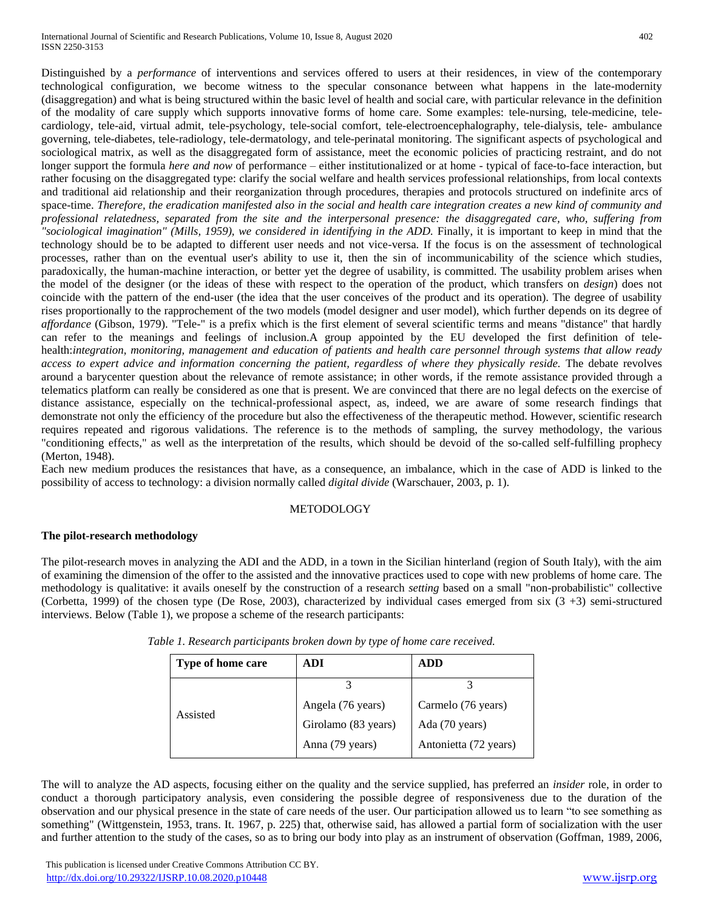Distinguished by a *performance* of interventions and services offered to users at their residences, in view of the contemporary technological configuration, we become witness to the specular consonance between what happens in the late-modernity (disaggregation) and what is being structured within the basic level of health and social care, with particular relevance in the definition of the modality of care supply which supports innovative forms of home care. Some examples: tele-nursing, tele-medicine, telecardiology, tele-aid, virtual admit, tele-psychology, tele-social comfort, tele-electroencephalography, tele-dialysis, tele- ambulance governing, tele-diabetes, tele-radiology, tele-dermatology, and tele-perinatal monitoring. The significant aspects of psychological and sociological matrix, as well as the disaggregated form of assistance, meet the economic policies of practicing restraint, and do not longer support the formula *here and now* of performance – either institutionalized or at home - typical of face-to-face interaction, but rather focusing on the disaggregated type: clarify the social welfare and health services professional relationships, from local contexts and traditional aid relationship and their reorganization through procedures, therapies and protocols structured on indefinite arcs of space-time. *Therefore, the eradication manifested also in the social and health care integration creates a new kind of community and professional relatedness, separated from the site and the interpersonal presence: the disaggregated care, who, suffering from "sociological imagination" (Mills, 1959), we considered in identifying in the ADD.* Finally, it is important to keep in mind that the technology should be to be adapted to different user needs and not vice-versa. If the focus is on the assessment of technological processes, rather than on the eventual user's ability to use it, then the sin of incommunicability of the science which studies, paradoxically, the human-machine interaction, or better yet the degree of usability, is committed. The usability problem arises when the model of the designer (or the ideas of these with respect to the operation of the product, which transfers on *design*) does not coincide with the pattern of the end-user (the idea that the user conceives of the product and its operation). The degree of usability rises proportionally to the rapprochement of the two models (model designer and user model), which further depends on its degree of *affordance* (Gibson, 1979). "Tele-" is a prefix which is the first element of several scientific terms and means "distance" that hardly can refer to the meanings and feelings of inclusion.A group appointed by the EU developed the first definition of telehealth:*integration, monitoring, management and education of patients and health care personnel through systems that allow ready access to expert advice and information concerning the patient, regardless of where they physically reside.* The debate revolves around a barycenter question about the relevance of remote assistance; in other words, if the remote assistance provided through a telematics platform can really be considered as one that is present. We are convinced that there are no legal defects on the exercise of distance assistance, especially on the technical-professional aspect, as, indeed, we are aware of some research findings that demonstrate not only the efficiency of the procedure but also the effectiveness of the therapeutic method. However, scientific research requires repeated and rigorous validations. The reference is to the methods of sampling, the survey methodology, the various "conditioning effects," as well as the interpretation of the results, which should be devoid of the so-called self-fulfilling prophecy (Merton, 1948).

Each new medium produces the resistances that have, as a consequence, an imbalance, which in the case of ADD is linked to the possibility of access to technology: a division normally called *digital divide* (Warschauer, 2003, p. 1).

## **METODOLOGY**

## **The pilot-research methodology**

The pilot-research moves in analyzing the ADI and the ADD, in a town in the Sicilian hinterland (region of South Italy), with the aim of examining the dimension of the offer to the assisted and the innovative practices used to cope with new problems of home care. The methodology is qualitative: it avails oneself by the construction of a research *setting* based on a small "non-probabilistic" collective (Corbetta, 1999) of the chosen type (De Rose, 2003), characterized by individual cases emerged from six  $(3 +3)$  semi-structured interviews. Below (Table 1), we propose a scheme of the research participants:

| Type of home care | ADI                 | <b>ADD</b>            |
|-------------------|---------------------|-----------------------|
| Assisted          |                     |                       |
|                   | Angela (76 years)   | Carmelo (76 years)    |
|                   | Girolamo (83 years) | Ada (70 years)        |
|                   | Anna (79 years)     | Antonietta (72 years) |

*Table 1. Research participants broken down by type of home care received.*

The will to analyze the AD aspects, focusing either on the quality and the service supplied, has preferred an *insider* role, in order to conduct a thorough participatory analysis, even considering the possible degree of responsiveness due to the duration of the observation and our physical presence in the state of care needs of the user. Our participation allowed us to learn "to see something as something" (Wittgenstein, 1953, trans. It. 1967, p. 225) that, otherwise said, has allowed a partial form of socialization with the user and further attention to the study of the cases, so as to bring our body into play as an instrument of observation (Goffman, 1989, 2006,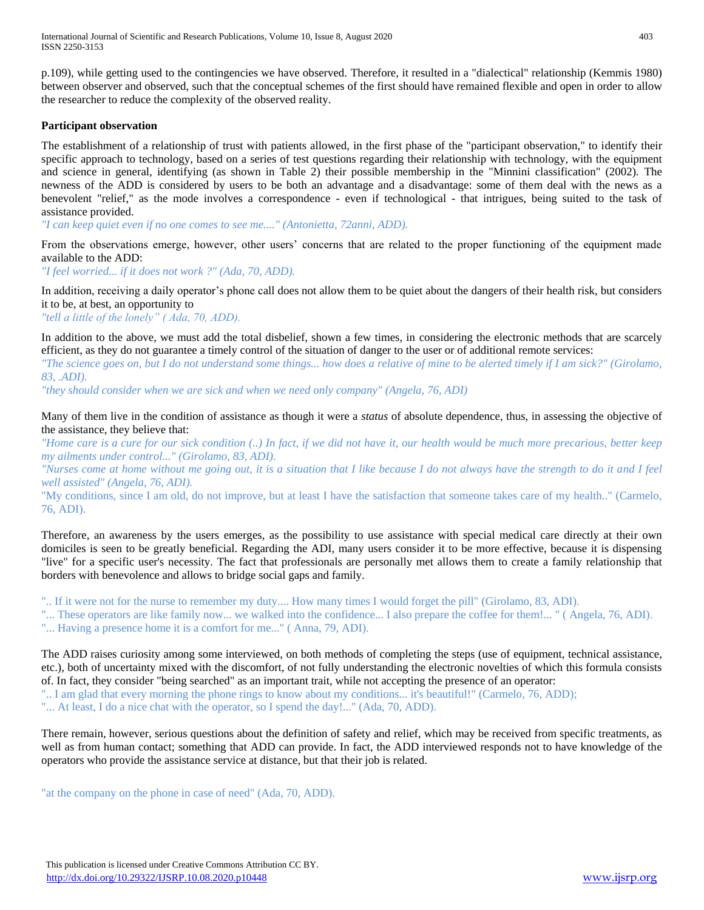p.109), while getting used to the contingencies we have observed. Therefore, it resulted in a "dialectical" relationship (Kemmis 1980) between observer and observed, such that the conceptual schemes of the first should have remained flexible and open in order to allow the researcher to reduce the complexity of the observed reality.

### **Participant observation**

The establishment of a relationship of trust with patients allowed, in the first phase of the "participant observation," to identify their specific approach to technology, based on a series of test questions regarding their relationship with technology, with the equipment and science in general, identifying (as shown in Table 2) their possible membership in the "Minnini classification" (2002). The newness of the ADD is considered by users to be both an advantage and a disadvantage: some of them deal with the news as a benevolent "relief," as the mode involves a correspondence - even if technological - that intrigues, being suited to the task of assistance provided.

*"I can keep quiet even if no one comes to see me...." (Antonietta, 72anni, ADD).*

From the observations emerge, however, other users' concerns that are related to the proper functioning of the equipment made available to the ADD:

*"I feel worried... if it does not work ?" (Ada, 70, ADD).*

In addition, receiving a daily operator's phone call does not allow them to be quiet about the dangers of their health risk, but considers it to be, at best, an opportunity to

*"tell a little of the lonely" ( Ada, 70, ADD).*

In addition to the above, we must add the total disbelief, shown a few times, in considering the electronic methods that are scarcely efficient, as they do not guarantee a timely control of the situation of danger to the user or of additional remote services:

*"The science goes on, but I do not understand some things... how does a relative of mine to be alerted timely if I am sick?" (Girolamo, 83, .ADI).*

*"they should consider when we are sick and when we need only company" (Angela, 76, ADI)*

Many of them live in the condition of assistance as though it were a *status* of absolute dependence, thus, in assessing the objective of the assistance, they believe that:

*"Home care is a cure for our sick condition (..) In fact, if we did not have it, our health would be much more precarious, better keep my ailments under control..." (Girolamo, 83, ADI).*

*"Nurses come at home without me going out, it is a situation that I like because I do not always have the strength to do it and I feel well assisted" (Angela, 76, ADI).*

"My conditions, since I am old, do not improve, but at least I have the satisfaction that someone takes care of my health.." (Carmelo, 76, ADI).

Therefore, an awareness by the users emerges, as the possibility to use assistance with special medical care directly at their own domiciles is seen to be greatly beneficial. Regarding the ADI, many users consider it to be more effective, because it is dispensing "live" for a specific user's necessity. The fact that professionals are personally met allows them to create a family relationship that borders with benevolence and allows to bridge social gaps and family.

".. If it were not for the nurse to remember my duty.... How many times I would forget the pill" (Girolamo, 83, ADI).

"... These operators are like family now... we walked into the confidence... I also prepare the coffee for them!... " ( Angela, 76, ADI). "... Having a presence home it is a comfort for me..." ( Anna, 79, ADI).

The ADD raises curiosity among some interviewed, on both methods of completing the steps (use of equipment, technical assistance, etc.), both of uncertainty mixed with the discomfort, of not fully understanding the electronic novelties of which this formula consists of. In fact, they consider "being searched" as an important trait, while not accepting the presence of an operator: ".. I am glad that every morning the phone rings to know about my conditions... it's beautiful!" (Carmelo, 76, ADD); "... At least, I do a nice chat with the operator, so I spend the day!..." (Ada, 70, ADD).

There remain, however, serious questions about the definition of safety and relief, which may be received from specific treatments, as well as from human contact; something that ADD can provide. In fact, the ADD interviewed responds not to have knowledge of the operators who provide the assistance service at distance, but that their job is related.

"at the company on the phone in case of need" (Ada, 70, ADD).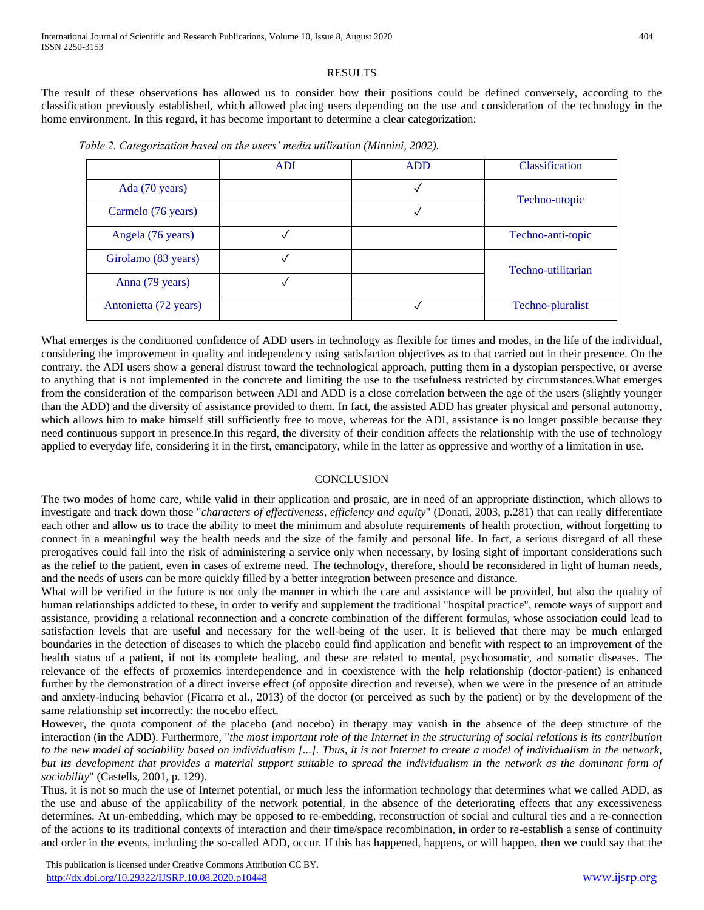## RESULTS

The result of these observations has allowed us to consider how their positions could be defined conversely, according to the classification previously established, which allowed placing users depending on the use and consideration of the technology in the home environment. In this regard, it has become important to determine a clear categorization:

|                       | <b>ADI</b> | <b>ADD</b> | <b>Classification</b> |
|-----------------------|------------|------------|-----------------------|
| Ada (70 years)        |            |            | Techno-utopic         |
| Carmelo (76 years)    |            |            |                       |
| Angela (76 years)     |            |            | Techno-anti-topic     |
| Girolamo (83 years)   |            |            | Techno-utilitarian    |
| Anna (79 years)       |            |            |                       |
| Antonietta (72 years) |            |            | Techno-pluralist      |

 *Table 2. Categorization based on the users' media utilization (Minnini, 2002).*

What emerges is the conditioned confidence of ADD users in technology as flexible for times and modes, in the life of the individual, considering the improvement in quality and independency using satisfaction objectives as to that carried out in their presence. On the contrary, the ADI users show a general distrust toward the technological approach, putting them in a dystopian perspective, or averse to anything that is not implemented in the concrete and limiting the use to the usefulness restricted by circumstances.What emerges from the consideration of the comparison between ADI and ADD is a close correlation between the age of the users (slightly younger than the ADD) and the diversity of assistance provided to them. In fact, the assisted ADD has greater physical and personal autonomy, which allows him to make himself still sufficiently free to move, whereas for the ADI, assistance is no longer possible because they need continuous support in presence.In this regard, the diversity of their condition affects the relationship with the use of technology applied to everyday life, considering it in the first, emancipatory, while in the latter as oppressive and worthy of a limitation in use.

#### **CONCLUSION**

The two modes of home care, while valid in their application and prosaic, are in need of an appropriate distinction, which allows to investigate and track down those "*characters of effectiveness, efficiency and equity*" (Donati, 2003, p.281) that can really differentiate each other and allow us to trace the ability to meet the minimum and absolute requirements of health protection, without forgetting to connect in a meaningful way the health needs and the size of the family and personal life. In fact, a serious disregard of all these prerogatives could fall into the risk of administering a service only when necessary, by losing sight of important considerations such as the relief to the patient, even in cases of extreme need. The technology, therefore, should be reconsidered in light of human needs, and the needs of users can be more quickly filled by a better integration between presence and distance.

What will be verified in the future is not only the manner in which the care and assistance will be provided, but also the quality of human relationships addicted to these, in order to verify and supplement the traditional "hospital practice", remote ways of support and assistance, providing a relational reconnection and a concrete combination of the different formulas, whose association could lead to satisfaction levels that are useful and necessary for the well-being of the user. It is believed that there may be much enlarged boundaries in the detection of diseases to which the placebo could find application and benefit with respect to an improvement of the health status of a patient, if not its complete healing, and these are related to mental, psychosomatic, and somatic diseases. The relevance of the effects of proxemics interdependence and in coexistence with the help relationship (doctor-patient) is enhanced further by the demonstration of a direct inverse effect (of opposite direction and reverse), when we were in the presence of an attitude and anxiety-inducing behavior (Ficarra et al., 2013) of the doctor (or perceived as such by the patient) or by the development of the same relationship set incorrectly: the nocebo effect.

However, the quota component of the placebo (and nocebo) in therapy may vanish in the absence of the deep structure of the interaction (in the ADD). Furthermore, "*the most important role of the Internet in the structuring of social relations is its contribution to the new model of sociability based on individualism [...]. Thus, it is not Internet to create a model of individualism in the network, but its development that provides a material support suitable to spread the individualism in the network as the dominant form of sociability*" (Castells, 2001, p. 129).

Thus, it is not so much the use of Internet potential, or much less the information technology that determines what we called ADD, as the use and abuse of the applicability of the network potential, in the absence of the deteriorating effects that any excessiveness determines. At un-embedding, which may be opposed to re-embedding, reconstruction of social and cultural ties and a re-connection of the actions to its traditional contexts of interaction and their time/space recombination, in order to re-establish a sense of continuity and order in the events, including the so-called ADD, occur. If this has happened, happens, or will happen, then we could say that the